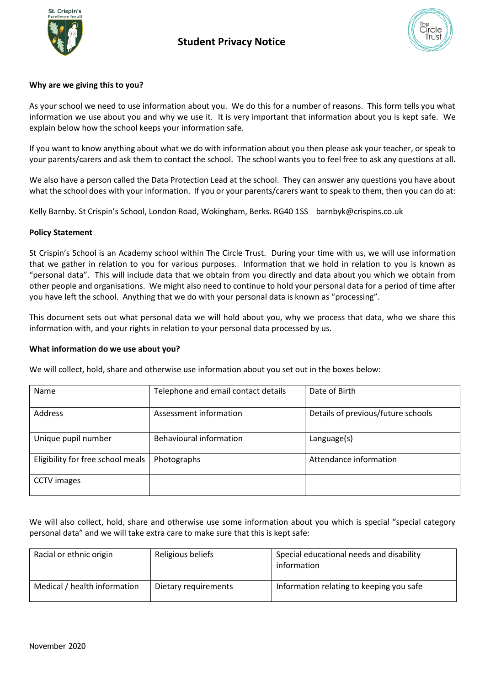



## **Why are we giving this to you?**

As your school we need to use information about you. We do this for a number of reasons. This form tells you what information we use about you and why we use it. It is very important that information about you is kept safe. We explain below how the school keeps your information safe.

If you want to know anything about what we do with information about you then please ask your teacher, or speak to your parents/carers and ask them to contact the school. The school wants you to feel free to ask any questions at all.

We also have a person called the Data Protection Lead at the school. They can answer any questions you have about what the school does with your information. If you or your parents/carers want to speak to them, then you can do at:

Kelly Barnby. St Crispin's School, London Road, Wokingham, Berks. RG40 1SS barnbyk@crispins.co.uk

#### **Policy Statement**

St Crispin's School is an Academy school within The Circle Trust. During your time with us, we will use information that we gather in relation to you for various purposes. Information that we hold in relation to you is known as "personal data". This will include data that we obtain from you directly and data about you which we obtain from other people and organisations. We might also need to continue to hold your personal data for a period of time after you have left the school. Anything that we do with your personal data is known as "processing".

This document sets out what personal data we will hold about you, why we process that data, who we share this information with, and your rights in relation to your personal data processed by us.

#### **What information do we use about you?**

We will collect, hold, share and otherwise use information about you set out in the boxes below:

| Name                              | Telephone and email contact details | Date of Birth                      |
|-----------------------------------|-------------------------------------|------------------------------------|
| <b>Address</b>                    | Assessment information              | Details of previous/future schools |
| Unique pupil number               | Behavioural information             | Language(s)                        |
| Eligibility for free school meals | Photographs                         | Attendance information             |
| <b>CCTV</b> images                |                                     |                                    |

We will also collect, hold, share and otherwise use some information about you which is special "special category personal data" and we will take extra care to make sure that this is kept safe:

| Racial or ethnic origin      | Religious beliefs    | Special educational needs and disability<br>information |
|------------------------------|----------------------|---------------------------------------------------------|
| Medical / health information | Dietary requirements | Information relating to keeping you safe                |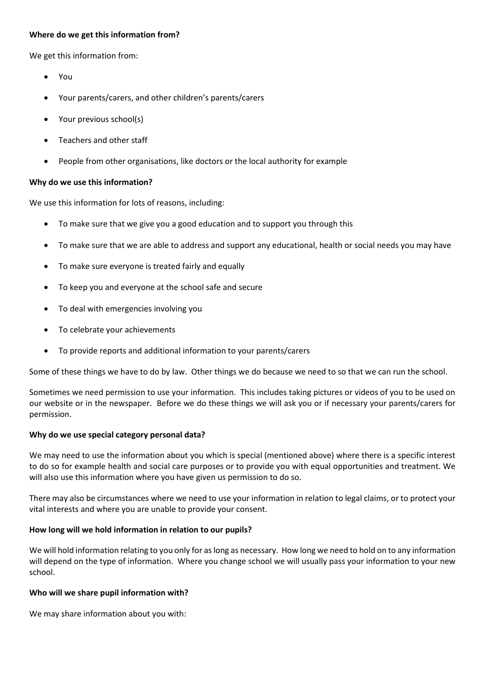## **Where do we get this information from?**

We get this information from:

- You
- Your parents/carers, and other children's parents/carers
- Your previous school(s)
- Teachers and other staff
- People from other organisations, like doctors or the local authority for example

#### **Why do we use this information?**

We use this information for lots of reasons, including:

- To make sure that we give you a good education and to support you through this
- To make sure that we are able to address and support any educational, health or social needs you may have
- To make sure everyone is treated fairly and equally
- To keep you and everyone at the school safe and secure
- To deal with emergencies involving you
- To celebrate your achievements
- To provide reports and additional information to your parents/carers

Some of these things we have to do by law. Other things we do because we need to so that we can run the school.

Sometimes we need permission to use your information. This includes taking pictures or videos of you to be used on our website or in the newspaper. Before we do these things we will ask you or if necessary your parents/carers for permission.

#### **Why do we use special category personal data?**

We may need to use the information about you which is special (mentioned above) where there is a specific interest to do so for example health and social care purposes or to provide you with equal opportunities and treatment. We will also use this information where you have given us permission to do so.

There may also be circumstances where we need to use your information in relation to legal claims, or to protect your vital interests and where you are unable to provide your consent.

## **How long will we hold information in relation to our pupils?**

We will hold information relating to you only for as long as necessary. How long we need to hold on to any information will depend on the type of information. Where you change school we will usually pass your information to your new school.

## **Who will we share pupil information with?**

We may share information about you with: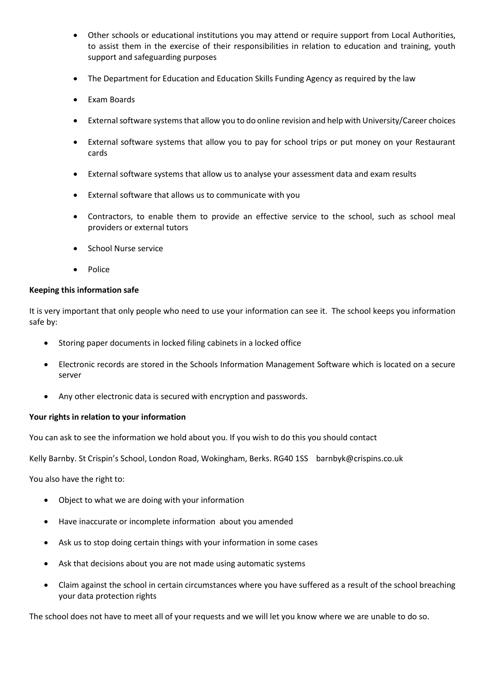- Other schools or educational institutions you may attend or require support from Local Authorities, to assist them in the exercise of their responsibilities in relation to education and training, youth support and safeguarding purposes
- The Department for Education and Education Skills Funding Agency as required by the law
- Exam Boards
- External software systems that allow you to do online revision and help with University/Career choices
- External software systems that allow you to pay for school trips or put money on your Restaurant cards
- External software systems that allow us to analyse your assessment data and exam results
- External software that allows us to communicate with you
- Contractors, to enable them to provide an effective service to the school, such as school meal providers or external tutors
- School Nurse service
- Police

## **Keeping this information safe**

It is very important that only people who need to use your information can see it. The school keeps you information safe by:

- Storing paper documents in locked filing cabinets in a locked office
- Electronic records are stored in the Schools Information Management Software which is located on a secure server
- Any other electronic data is secured with encryption and passwords.

## **Your rights in relation to your information**

You can ask to see the information we hold about you. If you wish to do this you should contact

Kelly Barnby. St Crispin's School, London Road, Wokingham, Berks. RG40 1SS barnbyk@crispins.co.uk

You also have the right to:

- Object to what we are doing with your information
- Have inaccurate or incomplete information about you amended
- Ask us to stop doing certain things with your information in some cases
- Ask that decisions about you are not made using automatic systems
- Claim against the school in certain circumstances where you have suffered as a result of the school breaching your data protection rights

The school does not have to meet all of your requests and we will let you know where we are unable to do so.